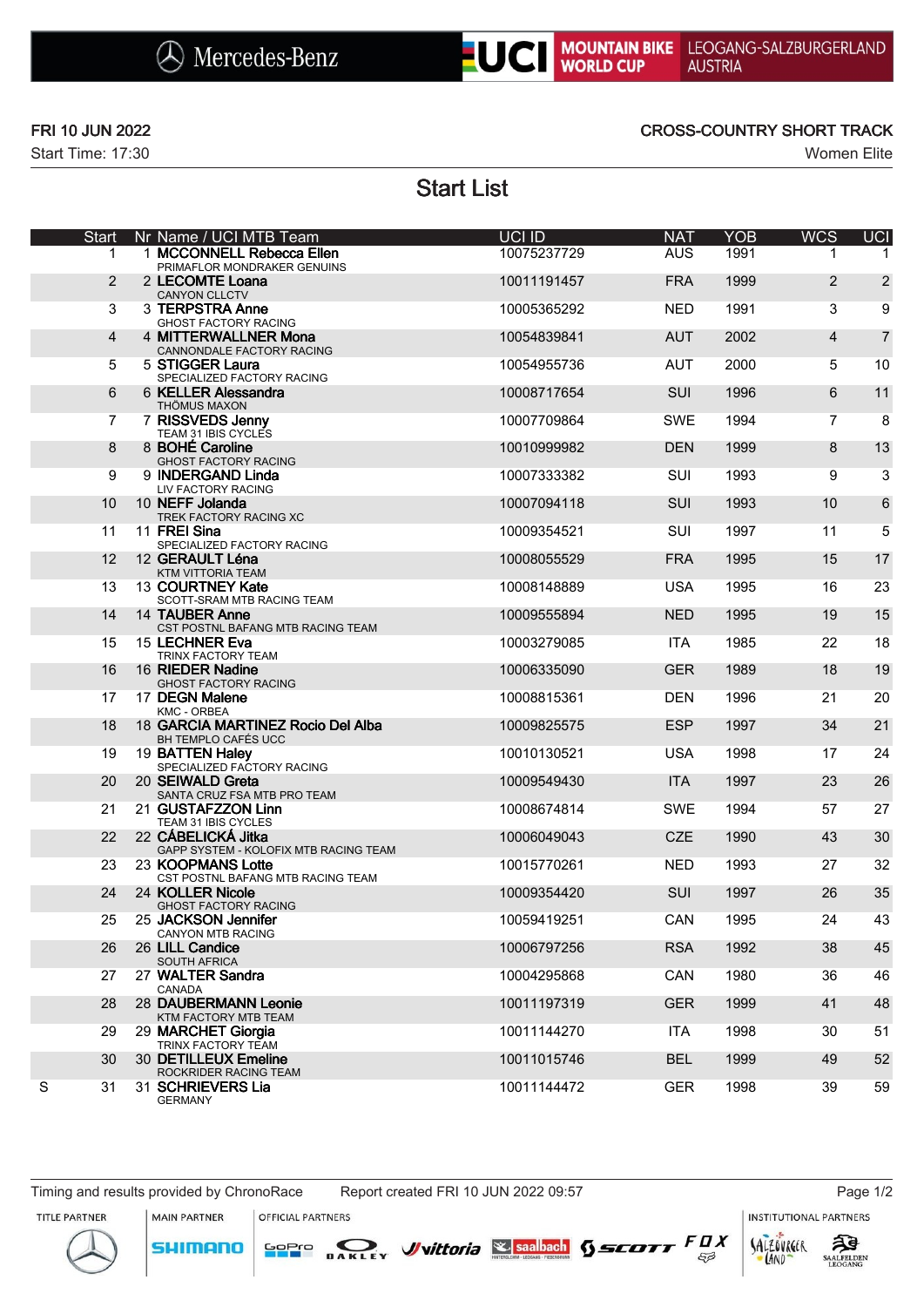



Start Time: 17:30 Women Elite

## FRI 10 JUN 2022 CROSS-COUNTRY SHORT TRACK

Start List

|   | Start          | Nr Name / UCI MTB Team                                       | UCI ID      | <b>NAT</b> | <b>YOB</b> | <b>WCS</b>     | <b>UCI</b>     |
|---|----------------|--------------------------------------------------------------|-------------|------------|------------|----------------|----------------|
|   | 1              | 1 MCCONNELL Rebecca Ellen<br>PRIMAFLOR MONDRAKER GENUINS     | 10075237729 | <b>AUS</b> | 1991       |                | 1              |
|   | 2              | 2 LECOMTE Loana<br><b>CANYON CLLCTV</b>                      | 10011191457 | <b>FRA</b> | 1999       | 2              | $\overline{2}$ |
|   | 3              | 3 TERPSTRA Anne<br><b>GHOST FACTORY RACING</b>               | 10005365292 | <b>NED</b> | 1991       | 3              | 9              |
|   | $\overline{4}$ | 4 MITTERWALLNER Mona<br>CANNONDALE FACTORY RACING            | 10054839841 | <b>AUT</b> | 2002       | $\overline{4}$ | $\overline{7}$ |
|   | 5              | 5 STIGGER Laura<br>SPECIALIZED FACTORY RACING                | 10054955736 | <b>AUT</b> | 2000       | 5              | 10             |
|   | 6              | 6 KELLER Alessandra<br><b>THÖMUS MAXON</b>                   | 10008717654 | <b>SUI</b> | 1996       | 6              | 11             |
|   | $\overline{7}$ | 7 RISSVEDS Jenny<br>TEAM 31 IBIS CYCLES                      | 10007709864 | <b>SWE</b> | 1994       | $\overline{7}$ | 8              |
|   | 8              | 8 BOHÉ Caroline<br><b>GHOST FACTORY RACING</b>               | 10010999982 | <b>DEN</b> | 1999       | 8              | 13             |
|   | 9              | 9 INDERGAND Linda<br>LIV FACTORY RACING                      | 10007333382 | SUI        | 1993       | 9              | 3              |
|   | 10             | 10 NEFF Jolanda<br>TREK FACTORY RACING XC                    | 10007094118 | <b>SUI</b> | 1993       | 10             | 6              |
|   | 11             | 11 FREI Sina<br>SPECIALIZED FACTORY RACING                   | 10009354521 | SUI        | 1997       | 11             | 5              |
|   | 12             | 12 GERAULT Léna<br>KTM VITTORIA TEAM                         | 10008055529 | <b>FRA</b> | 1995       | 15             | 17             |
|   | 13             | 13 COURTNEY Kate<br>SCOTT-SRAM MTB RACING TEAM               | 10008148889 | <b>USA</b> | 1995       | 16             | 23             |
|   | 14             | 14 TAUBER Anne<br>CST POSTNL BAFANG MTB RACING TEAM          | 10009555894 | <b>NED</b> | 1995       | 19             | 15             |
|   | 15             | 15 LECHNER Eva                                               | 10003279085 | <b>ITA</b> | 1985       | 22             | 18             |
|   | 16             | TRINX FACTORY TEAM<br>16 RIEDER Nadine                       | 10006335090 | <b>GER</b> | 1989       | 18             | 19             |
|   | 17             | <b>GHOST FACTORY RACING</b><br>17 DEGN Malene                | 10008815361 | <b>DEN</b> | 1996       | 21             | 20             |
|   | 18             | KMC - ORBEA<br>18 GARCIA MARTINEZ Rocio Del Alba             | 10009825575 | <b>ESP</b> | 1997       | 34             | 21             |
|   | 19             | BH TEMPLO CAFÉS UCC<br>19 BATTEN Haley                       | 10010130521 | <b>USA</b> | 1998       | 17             | 24             |
|   | 20             | SPECIALIZED FACTORY RACING<br>20 SEIWALD Greta               | 10009549430 | <b>ITA</b> | 1997       | 23             | 26             |
|   | 21             | SANTA CRUZ FSA MTB PRO TEAM<br>21 GUSTAFZZON Linn            | 10008674814 | <b>SWE</b> | 1994       | 57             | 27             |
|   | 22             | TEAM 31 IBIS CYCLES<br>22 CÁBELICKÁ Jitka                    | 10006049043 | <b>CZE</b> | 1990       | 43             | 30             |
|   | 23             | GAPP SYSTEM - KOLOFIX MTB RACING TEAM<br>23 KOOPMANS Lotte   | 10015770261 | <b>NED</b> | 1993       | 27             | 32             |
|   | 24             | CST POSTNL BAFANG MTB RACING TEAM<br>24 KOLLER Nicole        | 10009354420 | SUI        | 1997       | 26             | 35             |
|   | 25             | <b>GHOST FACTORY RACING</b><br>25 JACKSON Jennifer           | 10059419251 | CAN        | 1995       | 24             | 43             |
|   | 26             | CANYON MTB RACING<br>26 LILL Candice                         | 10006797256 | <b>RSA</b> | 1992       | 38             | 45             |
|   | 27             | SOUTH AFRICA<br>27 WALTER Sandra                             | 10004295868 | CAN        | 1980       | 36             | 46             |
|   | 28             | CANADA<br>28 DAUBERMANN Leonie                               | 10011197319 | <b>GER</b> | 1999       | 41             | 48             |
|   | 29             | KTM FACTORY MTB TEAM<br>29 MARCHET Giorgia                   | 10011144270 | <b>ITA</b> | 1998       | 30             | 51             |
|   | 30             | TRINX FACTORY TEAM<br>30 DETILLEUX Emeline                   | 10011015746 | <b>BEL</b> | 1999       | 49             | 52             |
| S | 31             | ROCKRIDER RACING TEAM<br>31 SCHRIEVERS Lia<br><b>GERMANY</b> | 10011144472 | <b>GER</b> | 1998       | 39             | 59             |

Timing and results provided by ChronoRace Report created FRI 10 JUN 2022 09:57 Page 1/2

MAIN PARTNER

**SHIMANO** 

OFFICIAL PARTNERS

SOPIO DAKLEY Vittoria & saabach SSCOTT FUX

**INSTITUTIONAL PARTNERS** 







 $53$